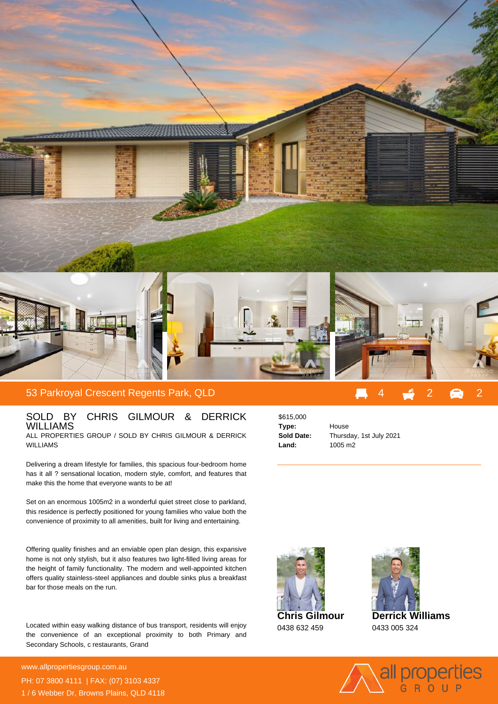

## SOLD BY CHRIS GILMOUR & DERRICK WILLIAMS ALL PROPERTIES GROUP / SOLD BY CHRIS GILMOUR & DERRICK

WILLIAMS

Delivering a dream lifestyle for families, this spacious four-bedroom home has it all ? sensational location, modern style, comfort, and features that make this the home that everyone wants to be at!

Set on an enormous 1005m2 in a wonderful quiet street close to parkland, this residence is perfectly positioned for young families who value both the convenience of proximity to all amenities, built for living and entertaining.

Offering quality finishes and an enviable open plan design, this expansive home is not only stylish, but it also features two light-filled living areas for the height of family functionality. The modern and well-appointed kitchen offers quality stainless-steel appliances and double sinks plus a breakfast bar for those meals on the run.

Located within easy walking distance of bus transport, residents will enjoy the convenience of an exceptional proximity to both Primary and Secondary Schools, c restaurants, Grand

**For more details please visit https://www.allpropertiesgroup.com.au/6468718** www.allpropertiesgroup.com.au PH: 07 3800 4111 | FAX: (07) 3103 4337 1 / 6 Webber Dr, Browns Plains, QLD 4118

| \$615,000  |
|------------|
| Type:      |
| Sold Date: |
| Land:      |

**Type:** House **Sold Date:** Thursday, 1st July 2021 **Land:** 1005 m2





0433 005 324